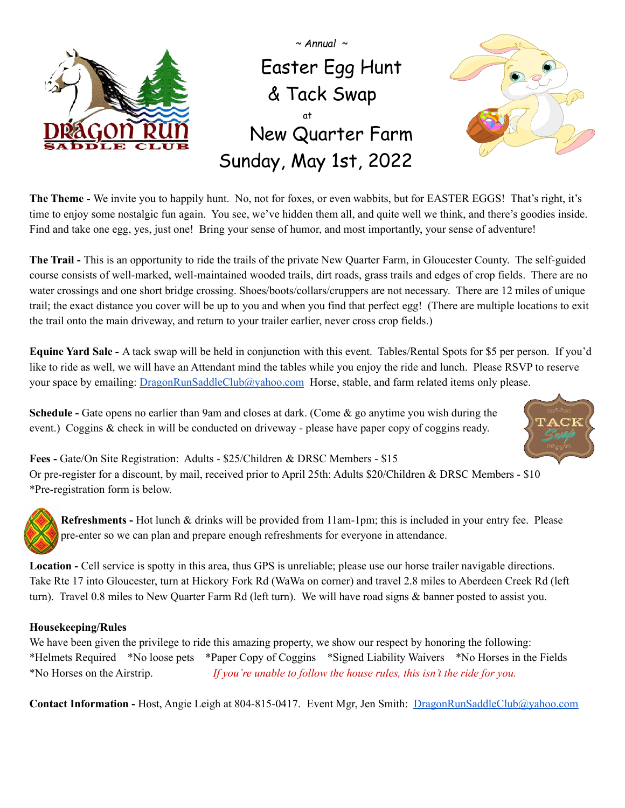

**The Theme -** We invite you to happily hunt. No, not for foxes, or even wabbits, but for EASTER EGGS! That's right, it's time to enjoy some nostalgic fun again. You see, we've hidden them all, and quite well we think, and there's goodies inside. Find and take one egg, yes, just one! Bring your sense of humor, and most importantly, your sense of adventure!

**The Trail -** This is an opportunity to ride the trails of the private New Quarter Farm, in Gloucester County. The self-guided course consists of well-marked, well-maintained wooded trails, dirt roads, grass trails and edges of crop fields. There are no water crossings and one short bridge crossing. Shoes/boots/collars/cruppers are not necessary. There are 12 miles of unique trail; the exact distance you cover will be up to you and when you find that perfect egg! (There are multiple locations to exit the trail onto the main driveway, and return to your trailer earlier, never cross crop fields.)

**Equine Yard Sale -** A tack swap will be held in conjunction with this event. Tables/Rental Spots for \$5 per person. If you'd like to ride as well, we will have an Attendant mind the tables while you enjoy the ride and lunch. Please RSVP to reserve your space by emailing: [DragonRunSaddleClub@yahoo.com](mailto:DragonRunSaddleClub@yahoo.com) Horse, stable, and farm related items only please.

**Schedule -** Gate opens no earlier than 9am and closes at dark. (Come & go anytime you wish during the event.) Coggins & check in will be conducted on driveway - please have paper copy of coggins ready.



**Fees -** Gate/On Site Registration: Adults - \$25/Children & DRSC Members - \$15 Or pre-register for a discount, by mail, received prior to April 25th: Adults \$20/Children & DRSC Members - \$10 \*Pre-registration form is below.



**Refreshments -** Hot lunch & drinks will be provided from 11am-1pm; this is included in your entry fee. Please pre-enter so we can plan and prepare enough refreshments for everyone in attendance.

**Location -** Cell service is spotty in this area, thus GPS is unreliable; please use our horse trailer navigable directions. Take Rte 17 into Gloucester, turn at Hickory Fork Rd (WaWa on corner) and travel 2.8 miles to Aberdeen Creek Rd (left turn). Travel 0.8 miles to New Quarter Farm Rd (left turn). We will have road signs & banner posted to assist you.

## **Housekeeping/Rules**

We have been given the privilege to ride this amazing property, we show our respect by honoring the following: \*Helmets Required \*No loose pets \*Paper Copy of Coggins \*Signed Liability Waivers \*No Horses in the Fields \*No Horses on the Airstrip. *If you're unable to follow the house rules, this isn't the ride for you.*

**Contact Information -** Host, Angie Leigh at 804-815-0417. Event Mgr, Jen Smith: [DragonRunSaddleClub@yahoo.com](mailto:DragonRunSaddleClub@yahoo.com)